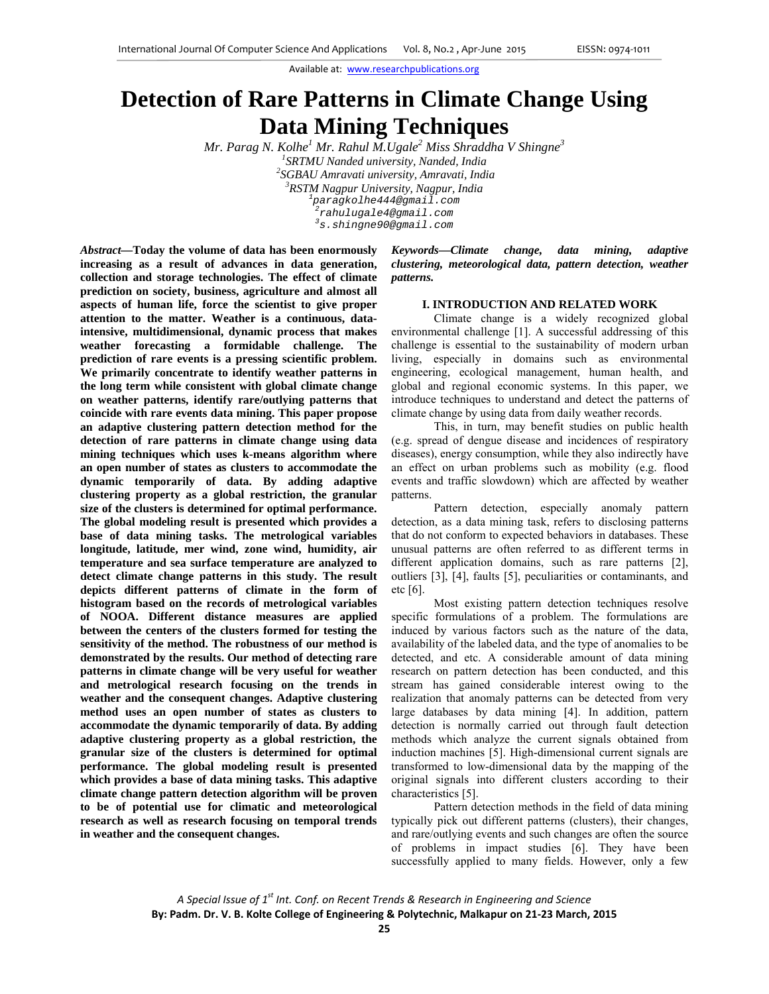# **Detection of Rare Patterns in Climate Change Using Data Mining Techniques**

*Mr. Parag N. Kolhe1 Mr. Rahul M.Ugale<sup>2</sup> Miss Shraddha V Shingne<sup>3</sup> 1 SRTMU Nanded university, Nanded, India 2 SGBAU Amravati university, Amravati, India 3 RSTM Nagpur University, Nagpur, India <sup>1</sup> paragkolhe444@gmail.com 2 rahulugale4@gmail.com 3 s.shingne90@gmail.com*

*Abstract***—Today the volume of data has been enormously increasing as a result of advances in data generation, collection and storage technologies. The effect of climate prediction on society, business, agriculture and almost all aspects of human life, force the scientist to give proper attention to the matter. Weather is a continuous, dataintensive, multidimensional, dynamic process that makes weather forecasting a formidable challenge. The prediction of rare events is a pressing scientific problem. We primarily concentrate to identify weather patterns in the long term while consistent with global climate change on weather patterns, identify rare/outlying patterns that coincide with rare events data mining. This paper propose an adaptive clustering pattern detection method for the detection of rare patterns in climate change using data mining techniques which uses k-means algorithm where an open number of states as clusters to accommodate the dynamic temporarily of data. By adding adaptive clustering property as a global restriction, the granular size of the clusters is determined for optimal performance. The global modeling result is presented which provides a base of data mining tasks. The metrological variables longitude, latitude, mer wind, zone wind, humidity, air temperature and sea surface temperature are analyzed to detect climate change patterns in this study. The result depicts different patterns of climate in the form of histogram based on the records of metrological variables of NOOA. Different distance measures are applied between the centers of the clusters formed for testing the sensitivity of the method. The robustness of our method is demonstrated by the results. Our method of detecting rare patterns in climate change will be very useful for weather and metrological research focusing on the trends in weather and the consequent changes. Adaptive clustering method uses an open number of states as clusters to accommodate the dynamic temporarily of data. By adding adaptive clustering property as a global restriction, the granular size of the clusters is determined for optimal performance. The global modeling result is presented which provides a base of data mining tasks. This adaptive climate change pattern detection algorithm will be proven to be of potential use for climatic and meteorological research as well as research focusing on temporal trends in weather and the consequent changes.** 

*Keywords***—***Climate change, data mining, adaptive clustering, meteorological data, pattern detection, weather patterns.* 

#### **I. INTRODUCTION AND RELATED WORK**

Climate change is a widely recognized global environmental challenge [1]. A successful addressing of this challenge is essential to the sustainability of modern urban living, especially in domains such as environmental engineering, ecological management, human health, and global and regional economic systems. In this paper, we introduce techniques to understand and detect the patterns of climate change by using data from daily weather records.

This, in turn, may benefit studies on public health (e.g. spread of dengue disease and incidences of respiratory diseases), energy consumption, while they also indirectly have an effect on urban problems such as mobility (e.g. flood events and traffic slowdown) which are affected by weather patterns.

Pattern detection, especially anomaly pattern detection, as a data mining task, refers to disclosing patterns that do not conform to expected behaviors in databases. These unusual patterns are often referred to as different terms in different application domains, such as rare patterns [2], outliers [3], [4], faults [5], peculiarities or contaminants, and etc [6].

Most existing pattern detection techniques resolve specific formulations of a problem. The formulations are induced by various factors such as the nature of the data, availability of the labeled data, and the type of anomalies to be detected, and etc. A considerable amount of data mining research on pattern detection has been conducted, and this stream has gained considerable interest owing to the realization that anomaly patterns can be detected from very large databases by data mining [4]. In addition, pattern detection is normally carried out through fault detection methods which analyze the current signals obtained from induction machines [5]. High-dimensional current signals are transformed to low-dimensional data by the mapping of the original signals into different clusters according to their characteristics [5].

Pattern detection methods in the field of data mining typically pick out different patterns (clusters), their changes, and rare/outlying events and such changes are often the source of problems in impact studies [6]. They have been successfully applied to many fields. However, only a few

*A Special Issue of 1st Int. Conf. on Recent Trends & Research in Engineering and Science* **By: Padm. Dr. V. B. Kolte College of Engineering & Polytechnic, Malkapur on 21‐23 March, 2015**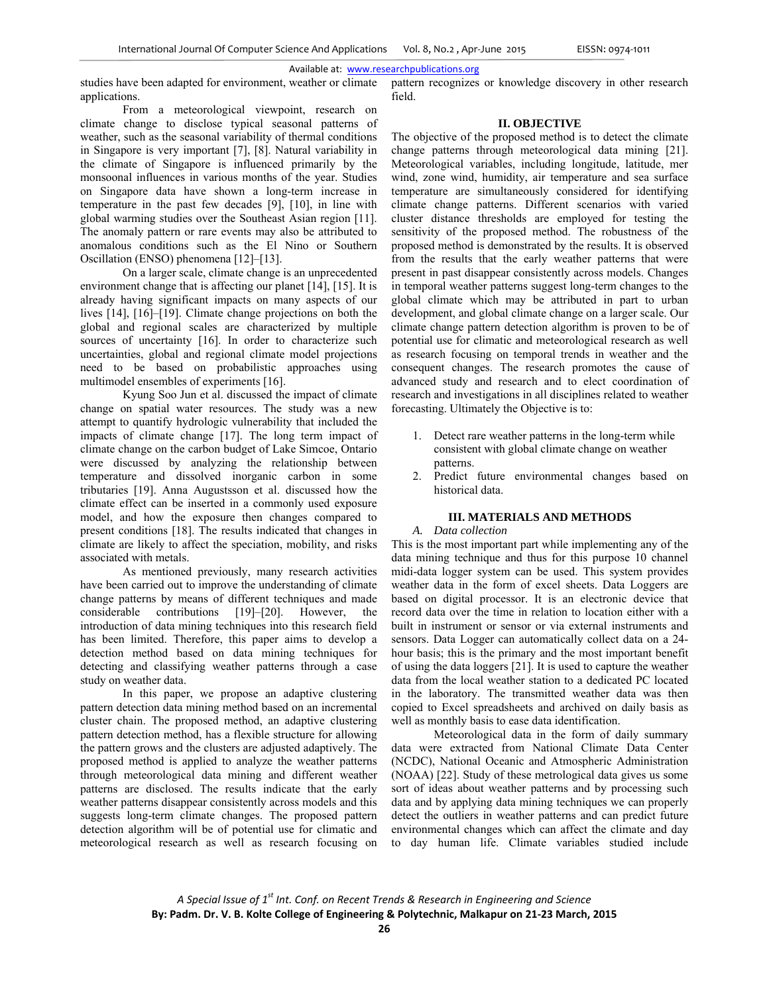studies have been adapted for environment, weather or climate applications.

From a meteorological viewpoint, research on climate change to disclose typical seasonal patterns of weather, such as the seasonal variability of thermal conditions in Singapore is very important [7], [8]. Natural variability in the climate of Singapore is influenced primarily by the monsoonal influences in various months of the year. Studies on Singapore data have shown a long-term increase in temperature in the past few decades [9], [10], in line with global warming studies over the Southeast Asian region [11]. The anomaly pattern or rare events may also be attributed to anomalous conditions such as the El Nino or Southern Oscillation (ENSO) phenomena [12]–[13].

 On a larger scale, climate change is an unprecedented environment change that is affecting our planet [14], [15]. It is already having significant impacts on many aspects of our lives [14], [16]–[19]. Climate change projections on both the global and regional scales are characterized by multiple sources of uncertainty [16]. In order to characterize such uncertainties, global and regional climate model projections need to be based on probabilistic approaches using multimodel ensembles of experiments [16].

 Kyung Soo Jun et al. discussed the impact of climate change on spatial water resources. The study was a new attempt to quantify hydrologic vulnerability that included the impacts of climate change [17]. The long term impact of climate change on the carbon budget of Lake Simcoe, Ontario were discussed by analyzing the relationship between temperature and dissolved inorganic carbon in some tributaries [19]. Anna Augustsson et al. discussed how the climate effect can be inserted in a commonly used exposure model, and how the exposure then changes compared to present conditions [18]. The results indicated that changes in climate are likely to affect the speciation, mobility, and risks associated with metals.

 As mentioned previously, many research activities have been carried out to improve the understanding of climate change patterns by means of different techniques and made considerable contributions [19]–[20]. However, the introduction of data mining techniques into this research field has been limited. Therefore, this paper aims to develop a detection method based on data mining techniques for detecting and classifying weather patterns through a case study on weather data.

 In this paper, we propose an adaptive clustering pattern detection data mining method based on an incremental cluster chain. The proposed method, an adaptive clustering pattern detection method, has a flexible structure for allowing the pattern grows and the clusters are adjusted adaptively. The proposed method is applied to analyze the weather patterns through meteorological data mining and different weather patterns are disclosed. The results indicate that the early weather patterns disappear consistently across models and this suggests long-term climate changes. The proposed pattern detection algorithm will be of potential use for climatic and meteorological research as well as research focusing on pattern recognizes or knowledge discovery in other research field.

# **II. OBJECTIVE**

The objective of the proposed method is to detect the climate change patterns through meteorological data mining [21]. Meteorological variables, including longitude, latitude, mer wind, zone wind, humidity, air temperature and sea surface temperature are simultaneously considered for identifying climate change patterns. Different scenarios with varied cluster distance thresholds are employed for testing the sensitivity of the proposed method. The robustness of the proposed method is demonstrated by the results. It is observed from the results that the early weather patterns that were present in past disappear consistently across models. Changes in temporal weather patterns suggest long-term changes to the global climate which may be attributed in part to urban development, and global climate change on a larger scale. Our climate change pattern detection algorithm is proven to be of potential use for climatic and meteorological research as well as research focusing on temporal trends in weather and the consequent changes. The research promotes the cause of advanced study and research and to elect coordination of research and investigations in all disciplines related to weather forecasting. Ultimately the Objective is to:

- 1. Detect rare weather patterns in the long-term while consistent with global climate change on weather patterns.
- 2. Predict future environmental changes based on historical data.

## **III. MATERIALS AND METHODS**

#### *A. Data collection*

This is the most important part while implementing any of the data mining technique and thus for this purpose 10 channel midi-data logger system can be used. This system provides weather data in the form of excel sheets. Data Loggers are based on digital processor. It is an electronic device that record data over the time in relation to location either with a built in instrument or sensor or via external instruments and sensors. Data Logger can automatically collect data on a 24 hour basis; this is the primary and the most important benefit of using the data loggers [21]. It is used to capture the weather data from the local weather station to a dedicated PC located in the laboratory. The transmitted weather data was then copied to Excel spreadsheets and archived on daily basis as well as monthly basis to ease data identification.

 Meteorological data in the form of daily summary data were extracted from National Climate Data Center (NCDC), National Oceanic and Atmospheric Administration (NOAA) [22]. Study of these metrological data gives us some sort of ideas about weather patterns and by processing such data and by applying data mining techniques we can properly detect the outliers in weather patterns and can predict future environmental changes which can affect the climate and day to day human life. Climate variables studied include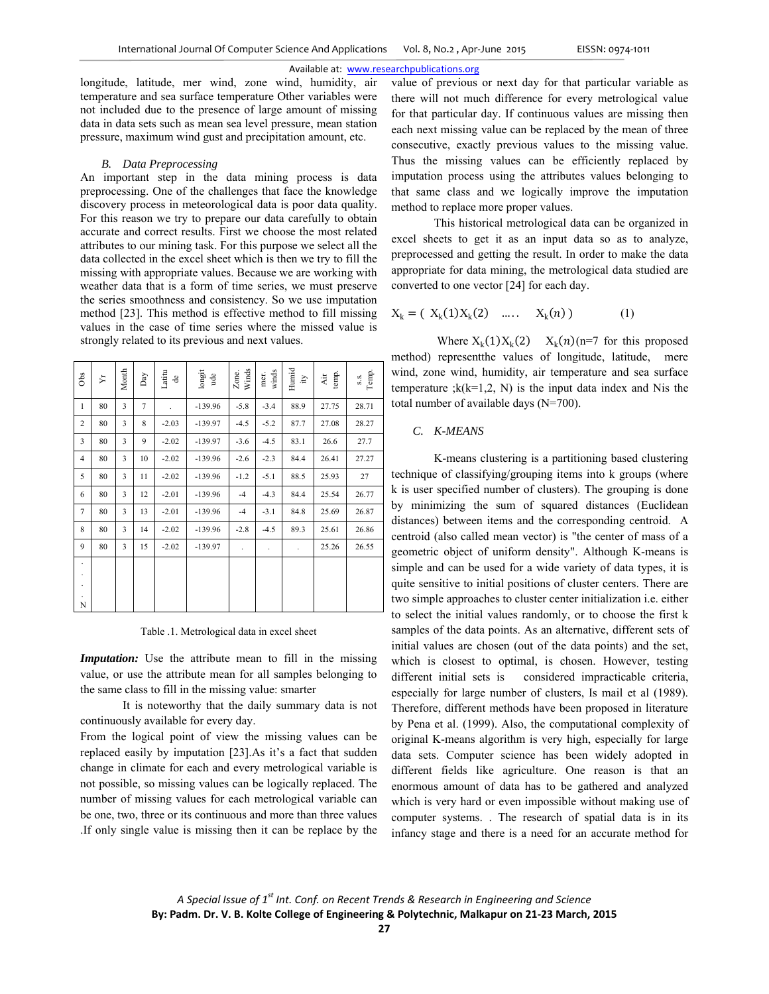longitude, latitude, mer wind, zone wind, humidity, air temperature and sea surface temperature Other variables were not included due to the presence of large amount of missing data in data sets such as mean sea level pressure, mean station pressure, maximum wind gust and precipitation amount, etc.

#### *B. Data Preprocessing*

An important step in the data mining process is data preprocessing. One of the challenges that face the knowledge discovery process in meteorological data is poor data quality. For this reason we try to prepare our data carefully to obtain accurate and correct results. First we choose the most related attributes to our mining task. For this purpose we select all the data collected in the excel sheet which is then we try to fill the missing with appropriate values. Because we are working with weather data that is a form of time series, we must preserve the series smoothness and consistency. So we use imputation method [23]. This method is effective method to fill missing values in the case of time series where the missed value is strongly related to its previous and next values.

| Obs                                          | Σŕ | Month | Day    | Latitu<br>$\triangleq$ | $\overline{\text{long}}$<br>ude | Zone.<br>Winds       | winds<br>mer. | Humid<br>È | temp.<br>$\lambda$ ir | s.s.<br>Temp. |
|----------------------------------------------|----|-------|--------|------------------------|---------------------------------|----------------------|---------------|------------|-----------------------|---------------|
| $\mathbf{1}$                                 | 80 | 3     | $\tau$ |                        | $-139.96$                       | $-5.8$               | $-3.4$        | 88.9       | 27.75                 | 28.71         |
| $\overline{c}$                               | 80 | 3     | 8      | $-2.03$                | $-139.97$                       | $-4.5$               | $-5.2$        | 87.7       | 27.08                 | 28.27         |
| 3                                            | 80 | 3     | 9      | $-2.02$                | $-139.97$                       | $-3.6$               | $-4.5$        | 83.1       | 26.6                  | 27.7          |
| $\overline{4}$                               | 80 | 3     | 10     | $-2.02$                | $-139.96$                       | $-2.6$               | $-2.3$        | 84.4       | 26.41                 | 27.27         |
| 5                                            | 80 | 3     | 11     | $-2.02$                | $-139.96$                       | $-1.2$               | $-5.1$        | 88.5       | 25.93                 | 27            |
| 6                                            | 80 | 3     | 12     | $-2.01$                | $-139.96$                       | $-4$                 | $-4.3$        | 84.4       | 25.54                 | 26.77         |
| $\tau$                                       | 80 | 3     | 13     | $-2.01$                | $-139.96$                       | $-4$                 | $-3.1$        | 84.8       | 25.69                 | 26.87         |
| 8                                            | 80 | 3     | 14     | $-2.02$                | $-139.96$                       | $-2.8$               | $-4.5$        | 89.3       | 25.61                 | 26.86         |
| 9                                            | 80 | 3     | 15     | $-2.02$                | $-139.97$                       | $\ddot{\phantom{1}}$ | ٠             | $\cdot$    | 25.26                 | 26.55         |
|                                              |    |       |        |                        |                                 |                      |               |            |                       |               |
| $\ddot{\phantom{0}}$<br>$\ddot{\phantom{1}}$ |    |       |        |                        |                                 |                      |               |            |                       |               |
| N                                            |    |       |        |                        |                                 |                      |               |            |                       |               |

Table .1. Metrological data in excel sheet

*Imputation:* Use the attribute mean to fill in the missing value, or use the attribute mean for all samples belonging to the same class to fill in the missing value: smarter

It is noteworthy that the daily summary data is not continuously available for every day.

From the logical point of view the missing values can be replaced easily by imputation [23].As it's a fact that sudden change in climate for each and every metrological variable is not possible, so missing values can be logically replaced. The number of missing values for each metrological variable can be one, two, three or its continuous and more than three values .If only single value is missing then it can be replace by the

value of previous or next day for that particular variable as there will not much difference for every metrological value for that particular day. If continuous values are missing then each next missing value can be replaced by the mean of three consecutive, exactly previous values to the missing value. Thus the missing values can be efficiently replaced by imputation process using the attributes values belonging to that same class and we logically improve the imputation method to replace more proper values.

This historical metrological data can be organized in excel sheets to get it as an input data so as to analyze, preprocessed and getting the result. In order to make the data appropriate for data mining, the metrological data studied are converted to one vector [24] for each day.

$$
X_k = (X_k(1)X_k(2) \quad \dots \quad X_k(n)) \tag{1}
$$

Where  $X_k(1)X_k(2) = X_k(n)$  (n=7 for this proposed method) representthe values of longitude, latitude, mere wind, zone wind, humidity, air temperature and sea surface temperature ; $k(k=1,2, N)$  is the input data index and Nis the total number of available days (N=700).

## *C. K-MEANS*

K-means clustering is a partitioning based clustering technique of classifying/grouping items into k groups (where k is user specified number of clusters). The grouping is done by minimizing the sum of squared distances (Euclidean distances) between items and the corresponding centroid. A centroid (also called mean vector) is "the center of mass of a geometric object of uniform density". Although K-means is simple and can be used for a wide variety of data types, it is quite sensitive to initial positions of cluster centers. There are two simple approaches to cluster center initialization i.e. either to select the initial values randomly, or to choose the first k samples of the data points. As an alternative, different sets of initial values are chosen (out of the data points) and the set, which is closest to optimal, is chosen. However, testing different initial sets is considered impracticable criteria, especially for large number of clusters, Is mail et al (1989). Therefore, different methods have been proposed in literature by Pena et al. (1999). Also, the computational complexity of original K-means algorithm is very high, especially for large data sets. Computer science has been widely adopted in different fields like agriculture. One reason is that an enormous amount of data has to be gathered and analyzed which is very hard or even impossible without making use of computer systems. . The research of spatial data is in its infancy stage and there is a need for an accurate method for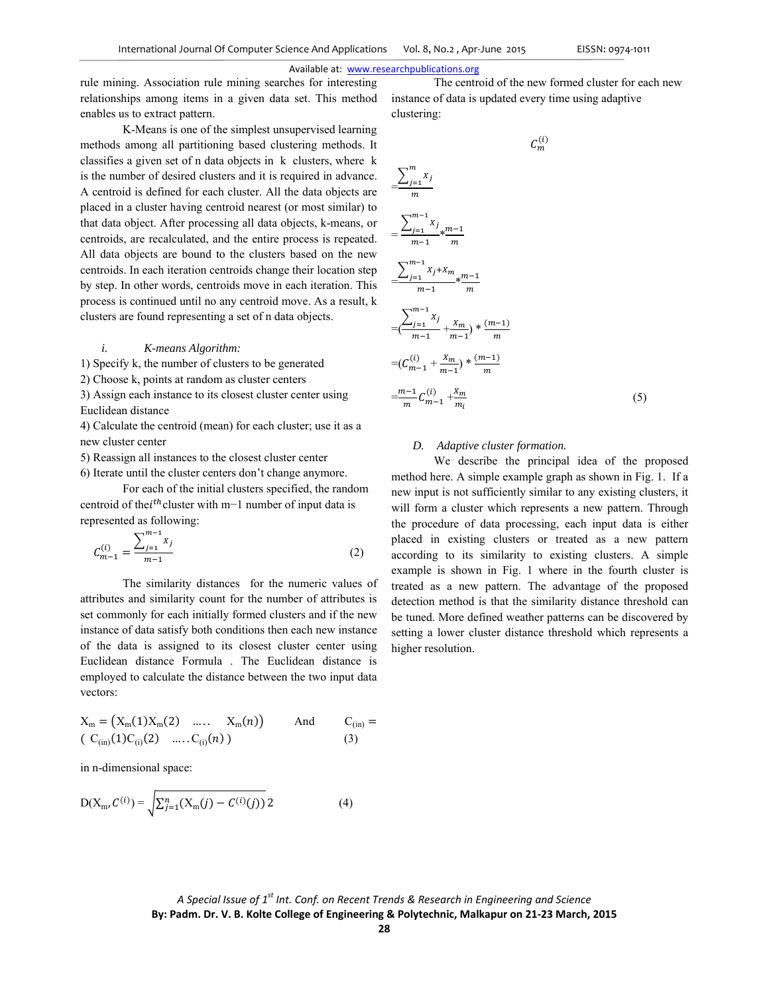rule mining. Association rule mining searches for interesting relationships among items in a given data set. This method enables us to extract pattern.

K-Means is one of the simplest unsupervised learning methods among all partitioning based clustering methods. It classifies a given set of n data objects in k clusters, where k is the number of desired clusters and it is required in advance. A centroid is defined for each cluster. All the data objects are placed in a cluster having centroid nearest (or most similar) to that data object. After processing all data objects, k-means, or centroids, are recalculated, and the entire process is repeated. All data objects are bound to the clusters based on the new centroids. In each iteration centroids change their location step by step. In other words, centroids move in each iteration. This process is continued until no any centroid move. As a result, k clusters are found representing a set of n data objects.

#### *i. K-means Algorithm:*

1) Specify k, the number of clusters to be generated

2) Choose k, points at random as cluster centers

3) Assign each instance to its closest cluster center using Euclidean distance

4) Calculate the centroid (mean) for each cluster; use it as a new cluster center

5) Reassign all instances to the closest cluster center

6) Iterate until the cluster centers don't change anymore.

For each of the initial clusters specified, the random centroid of thei<sup>th</sup> cluster with m−1 number of input data is represented as following:

$$
C_{m-1}^{(i)} = \frac{\sum_{j=1}^{m-1} x_j}{m-1}
$$
 (2)

The similarity distances for the numeric values of attributes and similarity count for the number of attributes is set commonly for each initially formed clusters and if the new instance of data satisfy both conditions then each new instance of the data is assigned to its closest cluster center using Euclidean distance Formula . The Euclidean distance is employed to calculate the distance between the two input data vectors:

$$
X_m = (X_m(1)X_m(2) \dots X_m(n))
$$
 And  $C_{(in)} =$   
 $(C_{(in)}(1)C_{(i)}(2) \dots C_{(i)}(n))$  (3)

in n-dimensional space:

$$
D(X_{m}, C^{(i)}) = \sqrt{\sum_{j=1}^{n} (X_{m}(j) - C^{(i)}(j))} \, 2 \tag{4}
$$

The centroid of the new formed cluster for each new instance of data is updated every time using adaptive clustering:

$$
C_m^{(i)}
$$
\n
$$
\frac{\sum_{j=1}^m x_j}{m}
$$
\n
$$
= \frac{\sum_{j=1}^{m-1} x_j}{m-1} * \frac{m-1}{m}
$$
\n
$$
\frac{\sum_{j=1}^{m-1} x_j + x_m}{m-1} * \frac{m-1}{m}
$$
\n
$$
= (\frac{\sum_{j=1}^{m-1} x_j}{m-1} + \frac{x_m}{m-1}) * \frac{(m-1)}{m}
$$
\n
$$
= (C_{m-1}^{(i)} + \frac{x_m}{m-1}) * \frac{(m-1)}{m}
$$
\n
$$
= \frac{m-1}{m} C_{m-1}^{(i)} + \frac{x_m}{m_i}
$$
\n(5)

#### *D. Adaptive cluster formation.*

We describe the principal idea of the proposed method here. A simple example graph as shown in Fig. 1. If a new input is not sufficiently similar to any existing clusters, it will form a cluster which represents a new pattern. Through the procedure of data processing, each input data is either placed in existing clusters or treated as a new pattern according to its similarity to existing clusters. A simple example is shown in Fig. 1 where in the fourth cluster is treated as a new pattern. The advantage of the proposed detection method is that the similarity distance threshold can be tuned. More defined weather patterns can be discovered by setting a lower cluster distance threshold which represents a higher resolution.

*A Special Issue of 1st Int. Conf. on Recent Trends & Research in Engineering and Science* **By: Padm. Dr. V. B. Kolte College of Engineering & Polytechnic, Malkapur on 21‐23 March, 2015**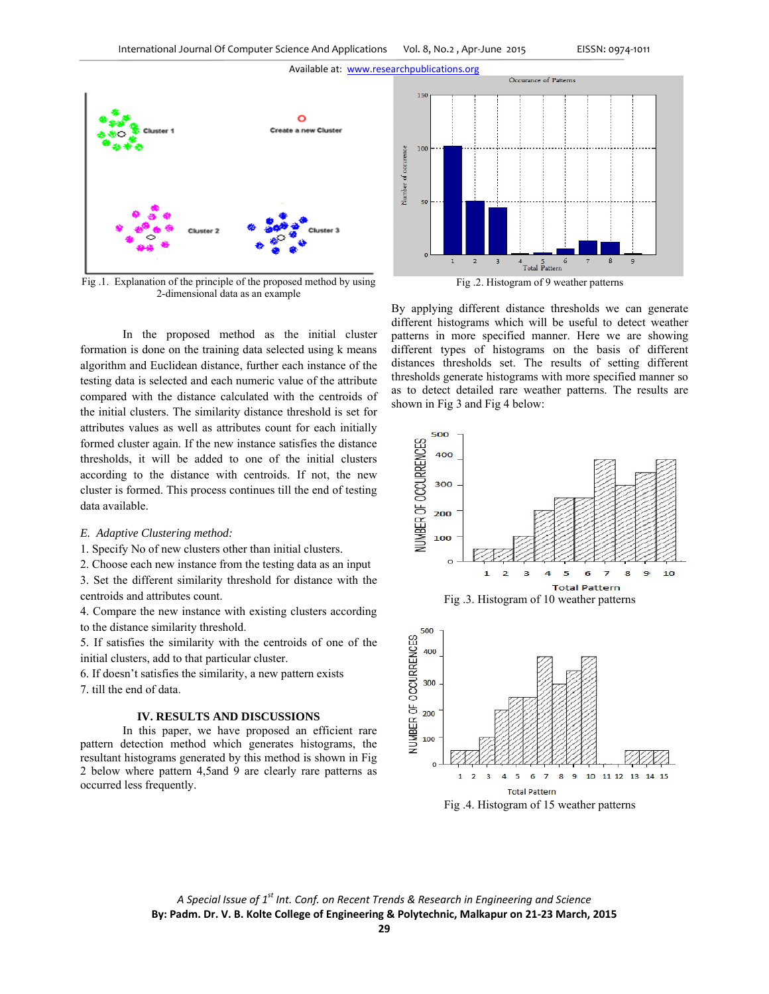

Fig .1. Explanation of the principle of the proposed method by using 2-dimensional data as an example

In the proposed method as the initial cluster formation is done on the training data selected using k means algorithm and Euclidean distance, further each instance of the testing data is selected and each numeric value of the attribute compared with the distance calculated with the centroids of the initial clusters. The similarity distance threshold is set for attributes values as well as attributes count for each initially formed cluster again. If the new instance satisfies the distance thresholds, it will be added to one of the initial clusters according to the distance with centroids. If not, the new cluster is formed. This process continues till the end of testing data available.

### *E. Adaptive Clustering method:*

1. Specify No of new clusters other than initial clusters.

2. Choose each new instance from the testing data as an input

3. Set the different similarity threshold for distance with the centroids and attributes count.

4. Compare the new instance with existing clusters according to the distance similarity threshold.

5. If satisfies the similarity with the centroids of one of the initial clusters, add to that particular cluster.

6. If doesn't satisfies the similarity, a new pattern exists

7. till the end of data.

# **IV. RESULTS AND DISCUSSIONS**

In this paper, we have proposed an efficient rare pattern detection method which generates histograms, the resultant histograms generated by this method is shown in Fig 2 below where pattern 4,5and 9 are clearly rare patterns as occurred less frequently.





By applying different distance thresholds we can generate different histograms which will be useful to detect weather patterns in more specified manner. Here we are showing different types of histograms on the basis of different distances thresholds set. The results of setting different thresholds generate histograms with more specified manner so as to detect detailed rare weather patterns. The results are shown in Fig 3 and Fig 4 below:



*A Special Issue of 1st Int. Conf. on Recent Trends & Research in Engineering and Science* **By: Padm. Dr. V. B. Kolte College of Engineering & Polytechnic, Malkapur on 21‐23 March, 2015**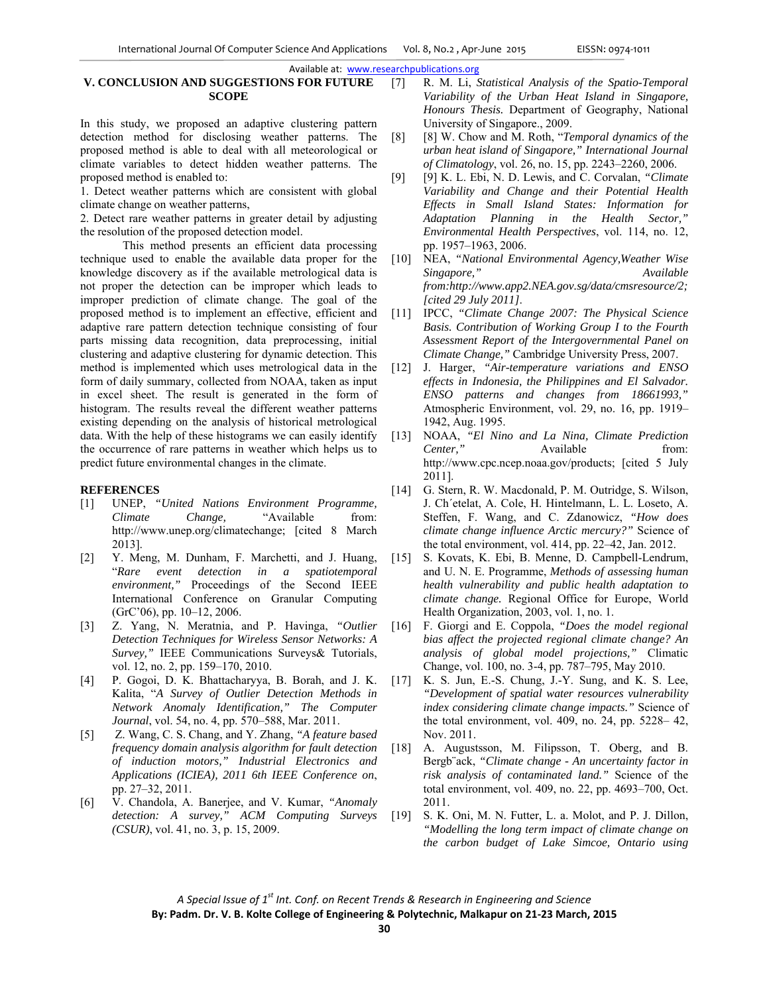# **V. CONCLUSION AND SUGGESTIONS FOR FUTURE SCOPE**

In this study, we proposed an adaptive clustering pattern detection method for disclosing weather patterns. The proposed method is able to deal with all meteorological or climate variables to detect hidden weather patterns. The proposed method is enabled to:

1. Detect weather patterns which are consistent with global climate change on weather patterns,

2. Detect rare weather patterns in greater detail by adjusting the resolution of the proposed detection model.

This method presents an efficient data processing technique used to enable the available data proper for the knowledge discovery as if the available metrological data is not proper the detection can be improper which leads to improper prediction of climate change. The goal of the proposed method is to implement an effective, efficient and adaptive rare pattern detection technique consisting of four parts missing data recognition, data preprocessing, initial clustering and adaptive clustering for dynamic detection. This method is implemented which uses metrological data in the form of daily summary, collected from NOAA, taken as input in excel sheet. The result is generated in the form of histogram. The results reveal the different weather patterns existing depending on the analysis of historical metrological data. With the help of these histograms we can easily identify the occurrence of rare patterns in weather which helps us to predict future environmental changes in the climate.

# **REFERENCES**

- [1] UNEP, *"United Nations Environment Programme, Climate Change,* "Available from: http://www.unep.org/climatechange; [cited 8 March 2013].
- [2] Y. Meng, M. Dunham, F. Marchetti, and J. Huang, "*Rare event detection in a spatiotemporal environment,"* Proceedings of the Second IEEE International Conference on Granular Computing (GrC'06), pp. 10–12, 2006.
- [3] Z. Yang, N. Meratnia, and P. Havinga, *"Outlier Detection Techniques for Wireless Sensor Networks: A Survey,"* IEEE Communications Surveys& Tutorials, vol. 12, no. 2, pp. 159–170, 2010.
- [4] P. Gogoi, D. K. Bhattacharyya, B. Borah, and J. K. Kalita, "*A Survey of Outlier Detection Methods in Network Anomaly Identification," The Computer Journal*, vol. 54, no. 4, pp. 570–588, Mar. 2011.
- [5] Z. Wang, C. S. Chang, and Y. Zhang, *"A feature based frequency domain analysis algorithm for fault detection of induction motors," Industrial Electronics and Applications (ICIEA), 2011 6th IEEE Conference on*, pp. 27–32, 2011.
- [6] V. Chandola, A. Banerjee, and V. Kumar, *"Anomaly detection: A survey," ACM Computing Surveys (CSUR)*, vol. 41, no. 3, p. 15, 2009.
- [7] R. M. Li, *Statistical Analysis of the Spatio-Temporal Variability of the Urban Heat Island in Singapore, Honours Thesis.* Department of Geography, National University of Singapore., 2009.
- [8] [8] W. Chow and M. Roth, "*Temporal dynamics of the urban heat island of Singapore," International Journal of Climatology*, vol. 26, no. 15, pp. 2243–2260, 2006.
- [9] [9] K. L. Ebi, N. D. Lewis, and C. Corvalan, *"Climate Variability and Change and their Potential Health Effects in Small Island States: Information for Adaptation Planning in the Health Sector," Environmental Health Perspectives*, vol. 114, no. 12, pp. 1957–1963, 2006.
- [10] NEA, *"National Environmental Agency,Weather Wise Singapore," Available from:http://www.app2.NEA.gov.sg/data/cmsresource/2; [cited 29 July 2011]*.
- [11] IPCC, *"Climate Change 2007: The Physical Science Basis. Contribution of Working Group I to the Fourth Assessment Report of the Intergovernmental Panel on Climate Change,"* Cambridge University Press, 2007.
- [12] J. Harger, *"Air-temperature variations and ENSO effects in Indonesia, the Philippines and El Salvador. ENSO patterns and changes from 18661993,"* Atmospheric Environment, vol. 29, no. 16, pp. 1919– 1942, Aug. 1995.
- [13] NOAA, *"El Nino and La Nina, Climate Prediction Center,"* Available from: http://www.cpc.ncep.noaa.gov/products; [cited 5 July 2011].
- [14] G. Stern, R. W. Macdonald, P. M. Outridge, S. Wilson, J. Ch´etelat, A. Cole, H. Hintelmann, L. L. Loseto, A. Steffen, F. Wang, and C. Zdanowicz, *"How does climate change influence Arctic mercury?"* Science of the total environment, vol. 414, pp. 22–42, Jan. 2012.
- [15] S. Kovats, K. Ebi, B. Menne, D. Campbell-Lendrum, and U. N. E. Programme, *Methods of assessing human health vulnerability and public health adaptation to climate change.* Regional Office for Europe, World Health Organization, 2003, vol. 1, no. 1.
- [16] F. Giorgi and E. Coppola, *"Does the model regional bias affect the projected regional climate change? An analysis of global model projections,"* Climatic Change, vol. 100, no. 3-4, pp. 787–795, May 2010.
- [17] K. S. Jun, E.-S. Chung, J.-Y. Sung, and K. S. Lee, *"Development of spatial water resources vulnerability index considering climate change impacts."* Science of the total environment, vol. 409, no. 24, pp. 5228– 42, Nov. 2011.
- [18] A. Augustsson, M. Filipsson, T. Oberg, and B. Bergb¨ack, *"Climate change - An uncertainty factor in risk analysis of contaminated land."* Science of the total environment, vol. 409, no. 22, pp. 4693–700, Oct. 2011.
- [19] S. K. Oni, M. N. Futter, L. a. Molot, and P. J. Dillon, *"Modelling the long term impact of climate change on the carbon budget of Lake Simcoe, Ontario using*

*A Special Issue of 1st Int. Conf. on Recent Trends & Research in Engineering and Science* **By: Padm. Dr. V. B. Kolte College of Engineering & Polytechnic, Malkapur on 21‐23 March, 2015**